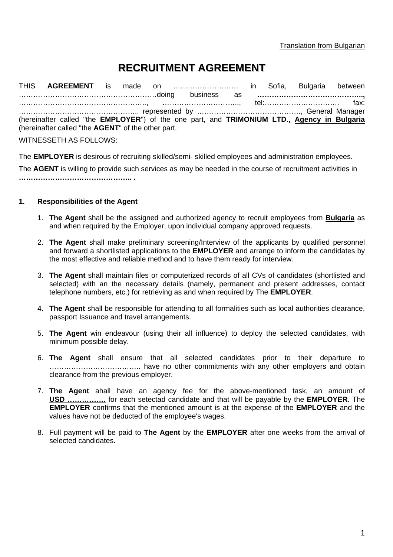# **RECRUITMENT AGREEMENT**

THIS **AGREEMENT** is made on ……………………… in Sofia, Bulgaria between …………………………………………………doing business as **……………………………………..,** …………………………………………….., ………………………….., tel:…………………………. fax: ………………………………………….. represented by ……………………………………., General Manager (hereinafter called "the **EMPLOYER**") of the one part, and **TRIMONIUM LTD., Agency in Bulgaria** (hereinafter called "the **AGENT**" of the other part.

WITNESSETH AS FOLLOWS:

The **EMPLOYER** is desirous of recruiting skilled/semi- skilled employees and administration employees.

The **AGENT** is willing to provide such services as may be needed in the course of recruitment activities in **……………………………………….. .**

#### **1. Responsibilities of the Agent**

- 1. **The Agent** shall be the assigned and authorized agency to recruit employees from **Bulgaria** as and when required by the Employer, upon individual company approved requests.
- 2. **The Agent** shall make preliminary screening/Interview of the applicants by qualified personnel and forward a shortlisted applications to the **EMPLOYER** and arrange to inform the candidates by the most effective and reliable method and to have them ready for interview.
- 3. **The Agent** shall maintain files or computerized records of all CVs of candidates (shortlisted and selected) with an the necessary details (namely, permanent and present addresses, contact telephone numbers, etc.) for retrieving as and when required by The **EMPLOYER**.
- 4. **The Agent** shall be responsible for attending to all formalities such as local authorities clearance, passport Issuance and travel arrangements.
- 5. **The Agent** win endeavour (using their all influence) to deploy the selected candidates, with minimum possible delay.
- 6. **The Agent** shall ensure that all selected candidates prior to their departure to ……………………………….. have no other commitments with any other employers and obtain clearance from the previous employer.
- 7. **The Agent** ahall have an agency fee for the above-mentioned task, an amount of **USD …………….** for each setectad candidate and that will be payable by the **EMPLOYER**. The **EMPLOYER** confirms that the mentioned amount is at the expense of the **EMPLOYER** and the values have not be deducted of the employee's wages.
- 8. Full payment will be paid to **The Agent** by the **EMPLOYER** after one weeks from the arrival of selected candidates.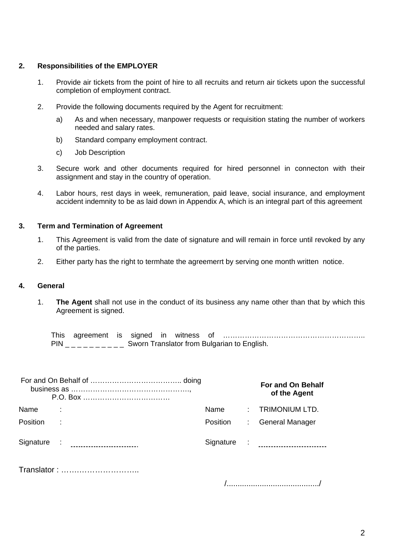## **2. Responsibilities of the EMPLOYER**

- 1. Provide air tickets from the point of hire to all recruits and return air tickets upon the successful completion of employment contract.
- 2. Provide the following documents required by the Agent for recruitment:
	- a) As and when necessary, manpower requests or requisition stating the number of workers needed and salary rates.
	- b) Standard company employment contract.
	- c) Job Description
- 3. Secure work and other documents required for hired personnel in connecton with their assignment and stay in the country of operation.
- 4. Labor hours, rest days in week, remuneration, paid leave, social insurance, and employment accident indemnity to be as laid down in Appendix A, which is an integral part of this agreement

# **3. Term and Termination of Agreement**

- 1. This Agreement is valid from the date of signature and will remain in force until revoked by any of the parties.
- 2. Either party has the right to termhate the agreemerrt by serving one month written notice.

# **4. General**

1. **The Agent** shall not use in the conduct of its business any name other than that by which this Agreement is signed.

This agreement is signed in witness of ………………………………………………….. PIN \_\_\_\_\_\_\_\_\_\_ Sworn Translator from Bulgarian to English.

|                 |  |          |  | <b>For and On Behalf</b><br>of the Agent |  |  |
|-----------------|--|----------|--|------------------------------------------|--|--|
| Name            |  | Name     |  | : TRIMONIUM LTD.                         |  |  |
| <b>Position</b> |  | Position |  | : General Manager                        |  |  |
|                 |  |          |  |                                          |  |  |
| Translator:     |  |          |  |                                          |  |  |

/........................................../